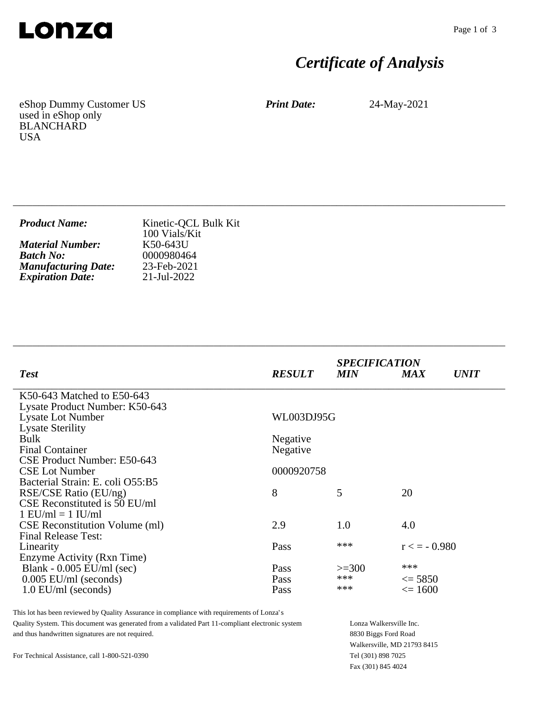

# *Certificate of Analysis*

eShop Dummy Customer US used in eShop only BLANCHARD USA

*Print Date:* 24-May-2021

| <b>Product Name:</b>       | Kinetic-QCL Bulk Kit<br>100 Vials/Kit |
|----------------------------|---------------------------------------|
| <b>Material Number:</b>    | K50-643U                              |
| <b>Batch No:</b>           | 0000980464                            |
| <b>Manufacturing Date:</b> | 23-Feb-2021                           |
| <b>Expiration Date:</b>    | 21-Jul-2022                           |

\_\_\_\_\_\_\_\_\_\_\_\_\_\_\_\_\_\_\_\_\_\_\_\_\_\_\_\_\_\_\_\_\_\_\_\_\_\_\_\_\_\_\_\_\_\_\_\_\_\_\_\_\_\_\_\_\_\_\_\_\_\_\_\_\_\_\_\_\_\_\_\_\_\_\_\_

\_\_\_\_\_\_\_\_\_\_\_\_\_\_\_\_\_\_\_\_\_\_\_\_\_\_\_\_\_\_\_\_\_\_\_\_\_\_\_\_\_\_\_\_\_\_\_\_\_\_\_\_\_\_\_\_\_\_\_\_\_\_\_\_\_\_\_\_\_\_\_\_\_\_\_\_

| <b>Test</b>                           | <b>RESULT</b> | <b>SPECIFICATION</b><br><b>MIN</b> | <b>MAX</b>        | <i><b>UNIT</b></i> |
|---------------------------------------|---------------|------------------------------------|-------------------|--------------------|
| K50-643 Matched to E50-643            |               |                                    |                   |                    |
| Lysate Product Number: K50-643        |               |                                    |                   |                    |
| <b>Lysate Lot Number</b>              | WL003DJ95G    |                                    |                   |                    |
| <b>Lysate Sterility</b>               |               |                                    |                   |                    |
| <b>Bulk</b>                           | Negative      |                                    |                   |                    |
| <b>Final Container</b>                | Negative      |                                    |                   |                    |
| CSE Product Number: E50-643           |               |                                    |                   |                    |
| <b>CSE Lot Number</b>                 | 0000920758    |                                    |                   |                    |
| Bacterial Strain: E. coli O55:B5      |               |                                    |                   |                    |
| RSE/CSE Ratio (EU/ng)                 | 8             | 5                                  | 20                |                    |
| CSE Reconstituted is 50 EU/ml         |               |                                    |                   |                    |
| $1$ EU/ml = $1$ IU/ml                 |               |                                    |                   |                    |
| <b>CSE Reconstitution Volume (ml)</b> | 2.9           | 1.0                                | 4.0               |                    |
| <b>Final Release Test:</b>            |               |                                    |                   |                    |
| Linearity                             | Pass          | ***                                | $r \leq -0.980$   |                    |
| Enzyme Activity (Rxn Time)            |               |                                    |                   |                    |
| Blank - $0.005$ EU/ml (sec)           | Pass          | $>=300$                            | ***               |                    |
| $0.005$ EU/ml (seconds)               | Pass          | ***                                | $\leq$ 5850       |                    |
| $1.0$ EU/ml (seconds)                 | Pass          | ***                                | $\epsilon = 1600$ |                    |
|                                       |               |                                    |                   |                    |

This lot has been reviewed by Quality Assurance in compliance with requirements of Lonza's Quality System. This document was generated from a validated Part 11-compliant electronic system and thus handwritten signatures are not required.

Lonza Walkersville Inc. 8830 Biggs Ford Road Walkersville, MD 21793 8415 Tel (301) 898 7025 Fax (301) 845 4024

For Technical Assistance, call 1-800-521-0390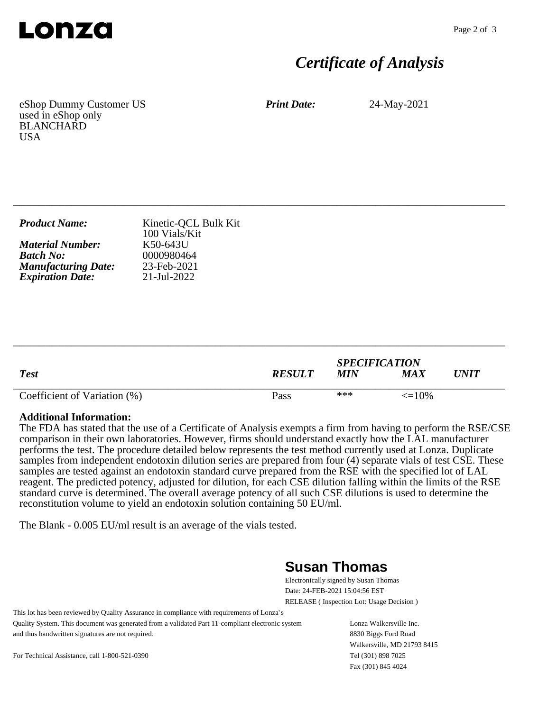

## *Certificate of Analysis*

eShop Dummy Customer US used in eShop only BLANCHARD **USA** 

*Print Date:* 24-May-2021

| <b>Product Name:</b>       | Kinetic-QCL Bulk Kit<br>100 Vials/Kit |
|----------------------------|---------------------------------------|
| <b>Material Number:</b>    | K50-643U                              |
| <b>Batch No:</b>           | 0000980464                            |
| <b>Manufacturing Date:</b> | 23-Feb-2021                           |
| <b>Expiration Date:</b>    | 21-Jul-2022                           |
|                            |                                       |

\_\_\_\_\_\_\_\_\_\_\_\_\_\_\_\_\_\_\_\_\_\_\_\_\_\_\_\_\_\_\_\_\_\_\_\_\_\_\_\_\_\_\_\_\_\_\_\_\_\_\_\_\_\_\_\_\_\_\_\_\_\_\_\_\_\_\_\_\_\_\_\_\_\_\_\_

| <b>Test</b>                  | <b>RESULT</b> | <b>SPECIFICATION</b><br><b>MIN</b> | MA X              | <i>UNIT</i> |
|------------------------------|---------------|------------------------------------|-------------------|-------------|
| Coefficient of Variation (%) | Pass          | ***                                | $\epsilon = 10\%$ |             |

\_\_\_\_\_\_\_\_\_\_\_\_\_\_\_\_\_\_\_\_\_\_\_\_\_\_\_\_\_\_\_\_\_\_\_\_\_\_\_\_\_\_\_\_\_\_\_\_\_\_\_\_\_\_\_\_\_\_\_\_\_\_\_\_\_\_\_\_\_\_\_\_\_\_\_\_

#### **Additional Information:**

The FDA has stated that the use of a Certificate of Analysis exempts a firm from having to perform the RSE/CSE comparison in their own laboratories. However, firms should understand exactly how the LAL manufacturer performs the test. The procedure detailed below represents the test method currently used at Lonza. Duplicate samples from independent endotoxin dilution series are prepared from four (4) separate vials of test CSE. These samples are tested against an endotoxin standard curve prepared from the RSE with the specified lot of LAL reagent. The predicted potency, adjusted for dilution, for each CSE dilution falling within the limits of the RSE standard curve is determined. The overall average potency of all such CSE dilutions is used to determine the reconstitution volume to yield an endotoxin solution containing 50 EU/ml.

The Blank - 0.005 EU/ml result is an average of the vials tested.

### **Susan Thomas**

Electronically signed by Susan Thomas Date: 24-FEB-2021 15:04:56 EST RELEASE ( Inspection Lot: Usage Decision )

This lot has been reviewed by Quality Assurance in compliance with requirements of Lonza's Quality System. This document was generated from a validated Part 11-compliant electronic system and thus handwritten signatures are not required.

Lonza Walkersville Inc. 8830 Biggs Ford Road Walkersville, MD 21793 8415 Tel (301) 898 7025 Fax (301) 845 4024

For Technical Assistance, call 1-800-521-0390